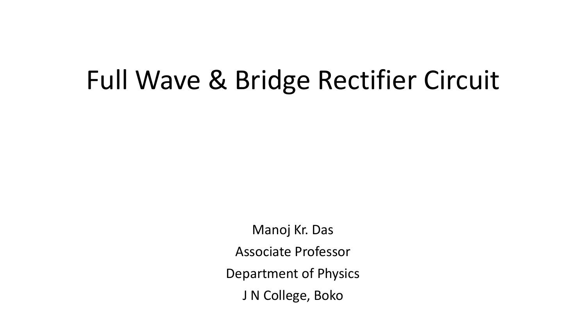# Full Wave & Bridge Rectifier Circuit

Manoj Kr. Das Associate Professor Department of Physics J N College, Boko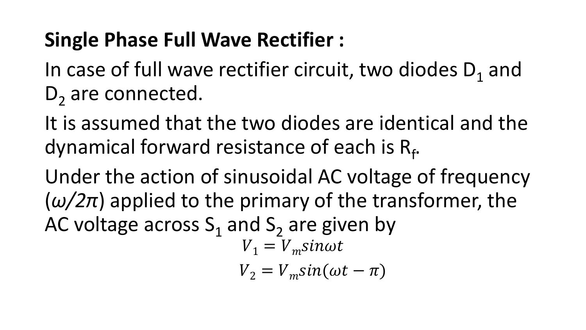#### **Single Phase Full Wave Rectifier :**

In case of full wave rectifier circuit, two diodes  $D_1$  and D<sub>2</sub> are connected.

It is assumed that the two diodes are identical and the dynamical forward resistance of each is R<sub>f</sub>.

Under the action of sinusoidal AC voltage of frequency  $(\omega/2\pi)$  applied to the primary of the transformer, the AC voltage across  $S_1$  and  $S_2$  are given by  $V_1 = V_m$ sin $\omega t$ 

 $V_2 = V_m \sin(\omega t - \pi)$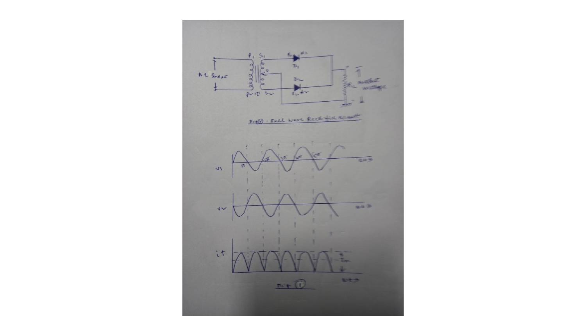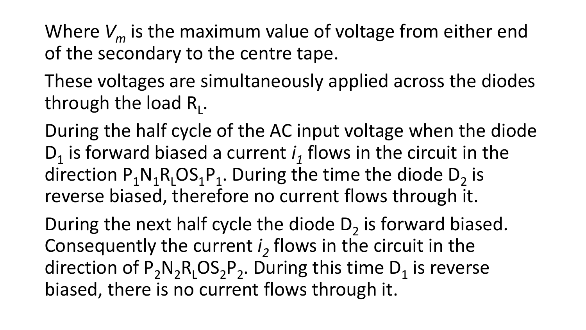Where *V<sup>m</sup>* is the maximum value of voltage from either end of the secondary to the centre tape.

These voltages are simultaneously applied across the diodes through the load R<sub>L</sub>.

During the half cycle of the AC input voltage when the diode  $D_1$  is forward biased a current  $i_1$  flows in the circuit in the direction  $P_1N_1R_1OS_1P_1$ . During the time the diode  $D_2$  is reverse biased, therefore no current flows through it.

During the next half cycle the diode  $D_2$  is forward biased. Consequently the current *i<sup>2</sup>* flows in the circuit in the direction of  $P_2N_2R_1OS_2P_2$ . During this time  $D_1$  is reverse biased, there is no current flows through it.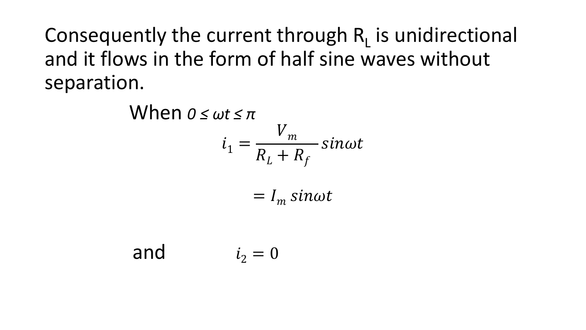Consequently the current through  $R_L$  is unidirectional and it flows in the form of half sine waves without separation.

> When *0 ≤ ωt ≤ π*  $i_1 =$  $V_m$  $R_L + R_f$  $sin\omega t$  $=$   $I_m$  sin $\omega t$

and  $i_2 = 0$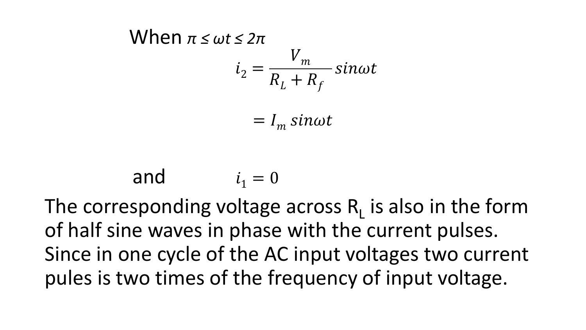When 
$$
\pi \le \omega t \le 2\pi
$$
  
 $i_2 = \frac{V_m}{R_L + R_f} \sin \omega t$ 

 $= I_m$  sin $\omega t$ 

and  $i_1 = 0$ The corresponding voltage across  $R_L$  is also in the form of half sine waves in phase with the current pulses. Since in one cycle of the AC input voltages two current pules is two times of the frequency of input voltage.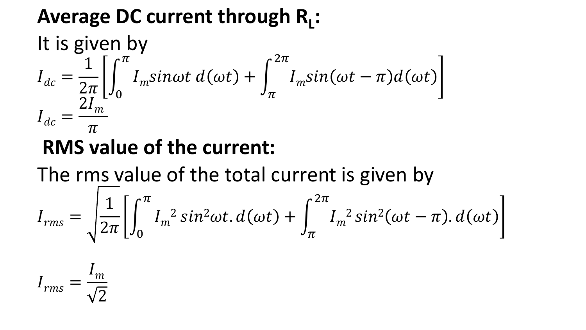# Average DC current through R<sub>L</sub>:

#### It is given by  $I_{dc} =$ 1  $2\pi$  $\overline{ }$ 0  $\pi$  $I_m$ sin $\omega t d(\omega t) +$  $\pi$  $2\pi$  $I_m$ sin $(\omega t-\pi)d(\omega t)$  $I_{dc} =$  $2I_m$  $\overline{\pi}$

#### **RMS value of the current:**

The rms value of the total current is given by

$$
I_{rms} = \sqrt{\frac{1}{2\pi} \left[ \int_0^{\pi} I_m^2 \sin^2 \omega t \cdot d(\omega t) + \int_{\pi}^{2\pi} I_m^2 \sin^2(\omega t - \pi) \cdot d(\omega t) \right]}
$$

$$
I_{rms} = \frac{I_m}{\sqrt{2}}
$$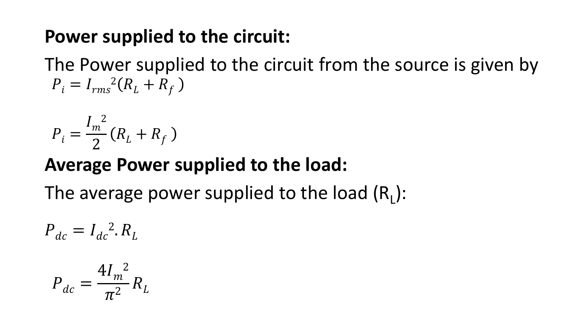#### **Power supplied to the circuit:**

The Power supplied to the circuit from the source is given by  $P_i = I_{rms}^2 (R_L + R_f)$ 

$$
P_i = \frac{I_m^2}{2} (R_L + R_f)
$$

#### **Average Power supplied to the load:**

The average power supplied to the load  $(R_{L})$ :

$$
P_{dc} = I_{dc}^2 \cdot R_L
$$

$$
P_{dc} = \frac{4I_m^2}{\pi^2} R_L
$$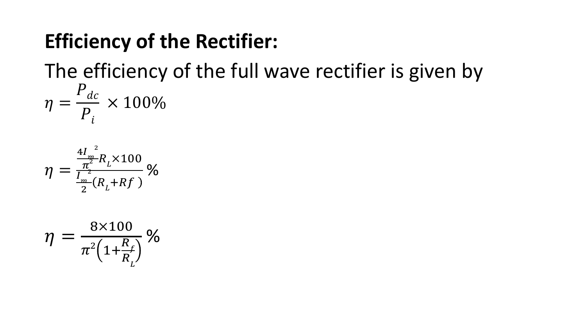#### **Efficiency of the Rectifier:**

The efficiency of the full wave rectifier is given by

$$
\eta = \frac{P_{dc}}{P_i} \times 100\%
$$

$$
\eta = \frac{\frac{4I_m^2}{\pi^2} R_L \times 100}{\frac{I_m^2}{2} (R_L + Rf)} \%
$$

$$
\eta = \frac{8 \times 100}{\pi^2 \left(1 + \frac{R_f}{R_L}\right)} \%
$$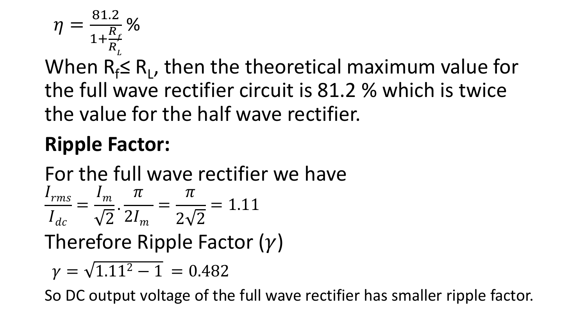$$
\eta = \frac{81.2}{1 + \frac{R_f}{R_L}} \%
$$

When  $R_f \le R_l$ , then the theoretical maximum value for the full wave rectifier circuit is 81.2 % which is twice the value for the half wave rectifier.

## **Ripple Factor:**

For the full wave rectifier we have  $I_{rms}$  $I_{dc}$ =  $I_m$ 2 .  $\overline{\pi}$  $2I_m$ =  $\overline{\pi}$  $2\sqrt{2}$  $= 1.11$ Therefore Ripple Factor  $(y)$ 

 $\gamma = \sqrt{1.11^2 - 1} = 0.482$ 

So DC output voltage of the full wave rectifier has smaller ripple factor.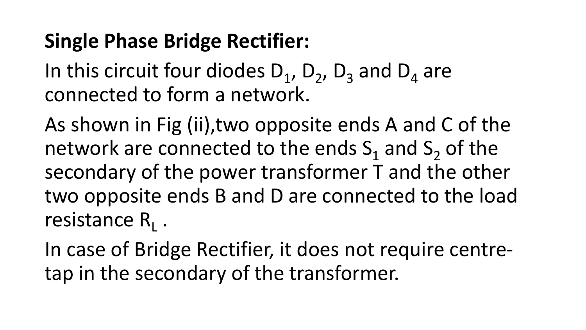#### **Single Phase Bridge Rectifier:**

In this circuit four diodes  $D_1$ ,  $D_2$ ,  $D_3$  and  $D_4$  are connected to form a network.

As shown in Fig (ii),two opposite ends A and C of the network are connected to the ends  $S_1$  and  $S_2$  of the secondary of the power transformer T and the other two opposite ends B and D are connected to the load resistance R<sub>L</sub>.

In case of Bridge Rectifier, it does not require centretap in the secondary of the transformer.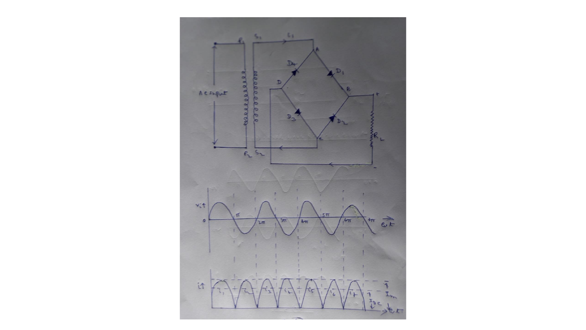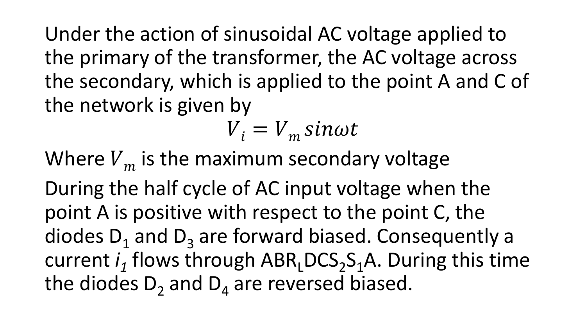Under the action of sinusoidal AC voltage applied to the primary of the transformer, the AC voltage across the secondary, which is applied to the point A and C of the network is given by

$$
V_i = V_m \sin \omega t
$$

Where  $V_m$  is the maximum secondary voltage

During the half cycle of AC input voltage when the point A is positive with respect to the point C, the diodes  $D_1$  and  $D_3$  are forward biased. Consequently a current *i*<sub>1</sub> flows through ABR<sub>L</sub>DCS<sub>2</sub>S<sub>1</sub>A. During this time the diodes  $D_2$  and  $D_4$  are reversed biased.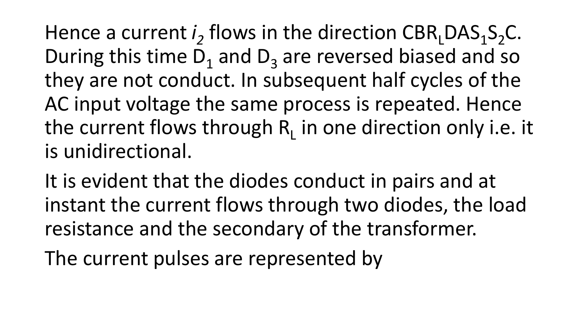Hence a current  $i_2$  flows in the direction  $CBR_LDAS_1S_2C$ . During this time  $D_1$  and  $D_3$  are reversed biased and so they are not conduct. In subsequent half cycles of the AC input voltage the same process is repeated. Hence the current flows through  $R_L$  in one direction only i.e. it is unidirectional.

It is evident that the diodes conduct in pairs and at instant the current flows through two diodes, the load resistance and the secondary of the transformer.

The current pulses are represented by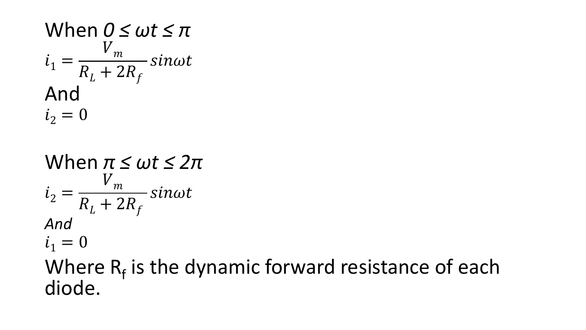When 
$$
0 \le \omega t \le \pi
$$
  
\n $i_1 = \frac{V_m}{R_L + 2R_f} \sin \omega t$   
\nAnd  
\n $i_2 = 0$ 

When 
$$
\pi \le \omega t \le 2\pi
$$
  
\n $i_2 = \frac{V_m}{R_L + 2R_f} \sin \omega t$   
\nAnd  
\n $i_1 = 0$ 

#### Where  $R_f$  is the dynamic forward resistance of each diode.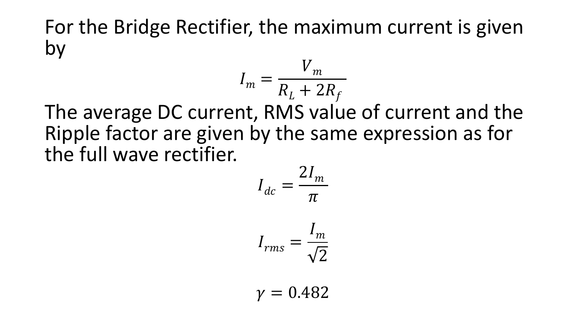For the Bridge Rectifier, the maximum current is given by

$$
I_m = \frac{V_m}{R_L + 2R_f}
$$

The average DC current, RMS value of current and the Ripple factor are given by the same expression as for the full wave rectifier.

$$
I_{dc} = \frac{2I_m}{\pi}
$$

$$
I_{rms} = \frac{I_m}{\sqrt{2}}
$$

 $\nu = 0.482$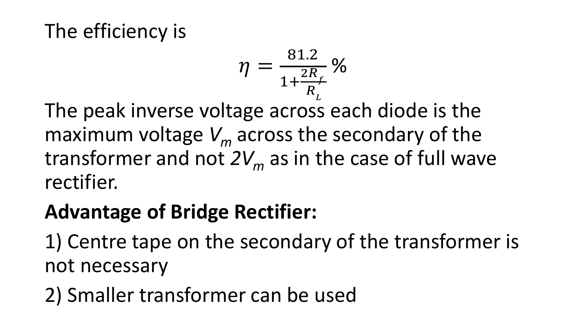#### The efficiency is

$$
\eta = \frac{81.2}{1 + \frac{2R_f}{R_L}} \%
$$

The peak inverse voltage across each diode is the maximum voltage *V<sup>m</sup>* across the secondary of the transformer and not *2V<sup>m</sup>* as in the case of full wave rectifier.

### **Advantage of Bridge Rectifier:**

1) Centre tape on the secondary of the transformer is not necessary

2) Smaller transformer can be used